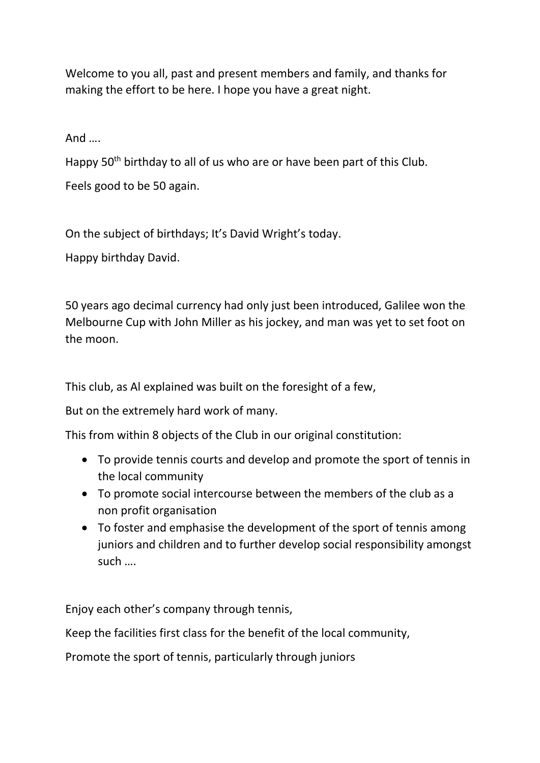Welcome to you all, past and present members and family, and thanks for making the effort to be here. I hope you have a great night.

And ….

Happy 50<sup>th</sup> birthday to all of us who are or have been part of this Club.

Feels good to be 50 again.

On the subject of birthdays; It's David Wright's today.

Happy birthday David.

50 years ago decimal currency had only just been introduced, Galilee won the Melbourne Cup with John Miller as his jockey, and man was yet to set foot on the moon.

This club, as Al explained was built on the foresight of a few,

But on the extremely hard work of many.

This from within 8 objects of the Club in our original constitution:

- To provide tennis courts and develop and promote the sport of tennis in the local community
- To promote social intercourse between the members of the club as a non profit organisation
- To foster and emphasise the development of the sport of tennis among juniors and children and to further develop social responsibility amongst such ….

Enjoy each other's company through tennis,

Keep the facilities first class for the benefit of the local community,

Promote the sport of tennis, particularly through juniors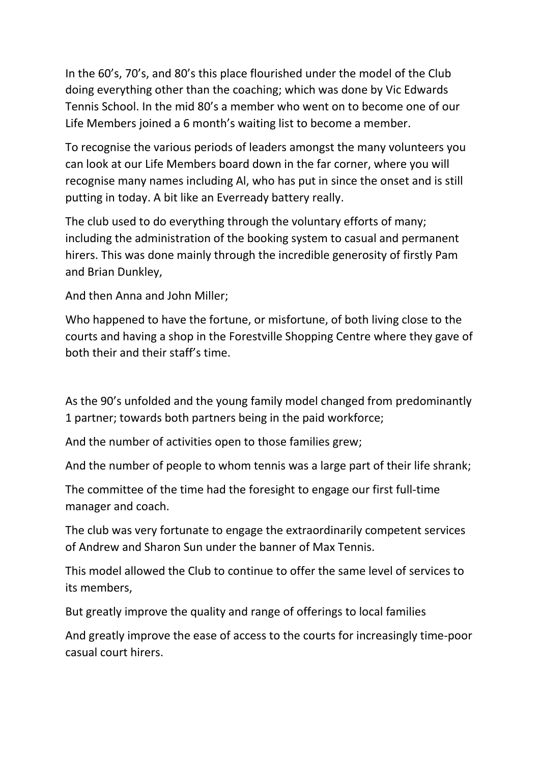In the 60's, 70's, and 80's this place flourished under the model of the Club doing everything other than the coaching; which was done by Vic Edwards Tennis School. In the mid 80's a member who went on to become one of our Life Members joined a 6 month's waiting list to become a member.

To recognise the various periods of leaders amongst the many volunteers you can look at our Life Members board down in the far corner, where you will recognise many names including Al, who has put in since the onset and is still putting in today. A bit like an Everready battery really.

The club used to do everything through the voluntary efforts of many; including the administration of the booking system to casual and permanent hirers. This was done mainly through the incredible generosity of firstly Pam and Brian Dunkley,

And then Anna and John Miller;

Who happened to have the fortune, or misfortune, of both living close to the courts and having a shop in the Forestville Shopping Centre where they gave of both their and their staff's time.

As the 90's unfolded and the young family model changed from predominantly 1 partner; towards both partners being in the paid workforce;

And the number of activities open to those families grew;

And the number of people to whom tennis was a large part of their life shrank;

The committee of the time had the foresight to engage our first full-time manager and coach.

The club was very fortunate to engage the extraordinarily competent services of Andrew and Sharon Sun under the banner of Max Tennis.

This model allowed the Club to continue to offer the same level of services to its members,

But greatly improve the quality and range of offerings to local families

And greatly improve the ease of access to the courts for increasingly time-poor casual court hirers.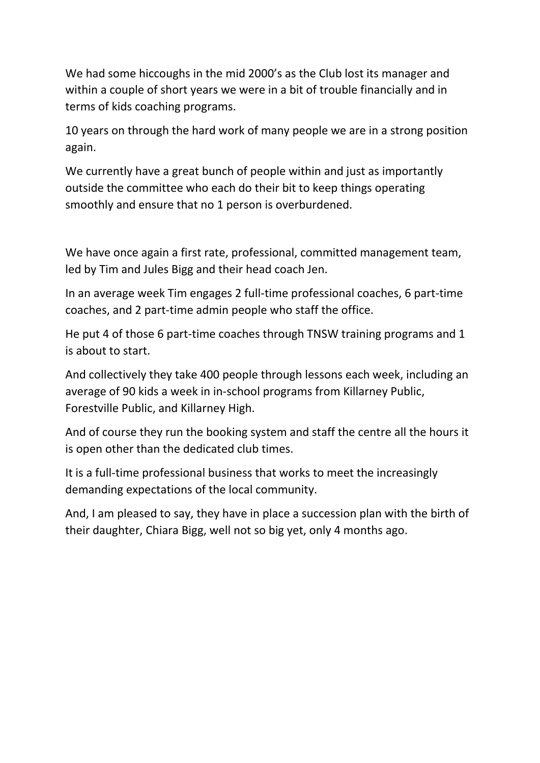We had some hiccoughs in the mid 2000's as the Club lost its manager and within a couple of short years we were in a bit of trouble financially and in terms of kids coaching programs.

10 years on through the hard work of many people we are in a strong position again.

We currently have a great bunch of people within and just as importantly outside the committee who each do their bit to keep things operating smoothly and ensure that no 1 person is overburdened.

We have once again a first rate, professional, committed management team, led by Tim and Jules Bigg and their head coach Jen.

In an average week Tim engages 2 full-time professional coaches, 6 part-time coaches, and 2 part-time admin people who staff the office.

He put 4 of those 6 part-time coaches through TNSW training programs and 1 is about to start.

And collectively they take 400 people through lessons each week, including an average of 90 kids a week in in-school programs from Killarney Public, Forestville Public, and Killarney High.

And of course they run the booking system and staff the centre all the hours it is open other than the dedicated club times.

It is a full-time professional business that works to meet the increasingly demanding expectations of the local community.

And, I am pleased to say, they have in place a succession plan with the birth of their daughter, Chiara Bigg, well not so big yet, only 4 months ago.